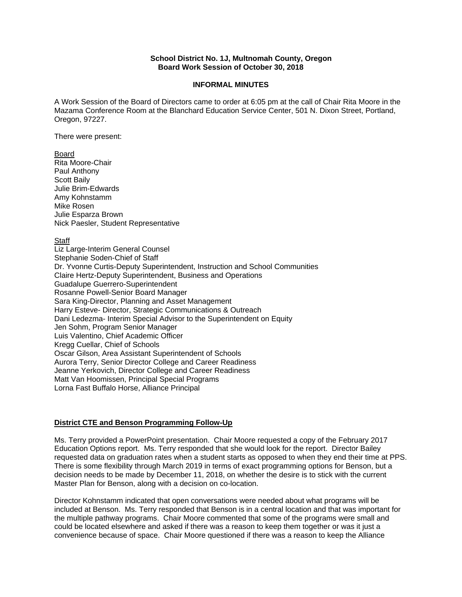## **School District No. 1J, Multnomah County, Oregon Board Work Session of October 30, 2018**

#### **INFORMAL MINUTES**

A Work Session of the Board of Directors came to order at 6:05 pm at the call of Chair Rita Moore in the Mazama Conference Room at the Blanchard Education Service Center, 501 N. Dixon Street, Portland, Oregon, 97227.

There were present:

#### Board

Rita Moore-Chair Paul Anthony Scott Baily Julie Brim-Edwards Amy Kohnstamm Mike Rosen Julie Esparza Brown Nick Paesler, Student Representative

## **Staff**

Liz Large-Interim General Counsel Stephanie Soden-Chief of Staff Dr. Yvonne Curtis-Deputy Superintendent, Instruction and School Communities Claire Hertz-Deputy Superintendent, Business and Operations Guadalupe Guerrero-Superintendent Rosanne Powell-Senior Board Manager Sara King-Director, Planning and Asset Management Harry Esteve- Director, Strategic Communications & Outreach Dani Ledezma- Interim Special Advisor to the Superintendent on Equity Jen Sohm, Program Senior Manager Luis Valentino, Chief Academic Officer Kregg Cuellar, Chief of Schools Oscar Gilson, Area Assistant Superintendent of Schools Aurora Terry, Senior Director College and Career Readiness Jeanne Yerkovich, Director College and Career Readiness Matt Van Hoomissen, Principal Special Programs Lorna Fast Buffalo Horse, Alliance Principal

## **District CTE and Benson Programming Follow-Up**

Ms. Terry provided a PowerPoint presentation. Chair Moore requested a copy of the February 2017 Education Options report. Ms. Terry responded that she would look for the report. Director Bailey requested data on graduation rates when a student starts as opposed to when they end their time at PPS. There is some flexibility through March 2019 in terms of exact programming options for Benson, but a decision needs to be made by December 11, 2018, on whether the desire is to stick with the current Master Plan for Benson, along with a decision on co-location.

Director Kohnstamm indicated that open conversations were needed about what programs will be included at Benson. Ms. Terry responded that Benson is in a central location and that was important for the multiple pathway programs. Chair Moore commented that some of the programs were small and could be located elsewhere and asked if there was a reason to keep them together or was it just a convenience because of space. Chair Moore questioned if there was a reason to keep the Alliance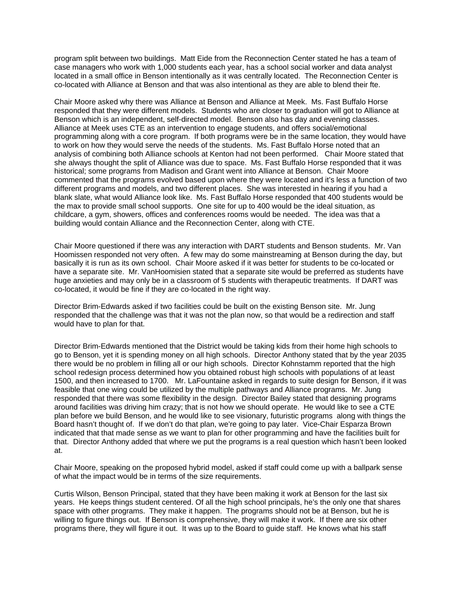program split between two buildings. Matt Eide from the Reconnection Center stated he has a team of case managers who work with 1,000 students each year, has a school social worker and data analyst located in a small office in Benson intentionally as it was centrally located. The Reconnection Center is co-located with Alliance at Benson and that was also intentional as they are able to blend their fte.

Chair Moore asked why there was Alliance at Benson and Alliance at Meek. Ms. Fast Buffalo Horse responded that they were different models. Students who are closer to graduation will got to Alliance at Benson which is an independent, self-directed model. Benson also has day and evening classes. Alliance at Meek uses CTE as an intervention to engage students, and offers social/emotional programming along with a core program. If both programs were be in the same location, they would have to work on how they would serve the needs of the students. Ms. Fast Buffalo Horse noted that an analysis of combining both Alliance schools at Kenton had not been performed. Chair Moore stated that she always thought the split of Alliance was due to space. Ms. Fast Buffalo Horse responded that it was historical; some programs from Madison and Grant went into Alliance at Benson. Chair Moore commented that the programs evolved based upon where they were located and it's less a function of two different programs and models, and two different places. She was interested in hearing if you had a blank slate, what would Alliance look like. Ms. Fast Buffalo Horse responded that 400 students would be the max to provide small school supports. One site for up to 400 would be the ideal situation, as childcare, a gym, showers, offices and conferences rooms would be needed. The idea was that a building would contain Alliance and the Reconnection Center, along with CTE.

Chair Moore questioned if there was any interaction with DART students and Benson students. Mr. Van Hoomissen responded not very often. A few may do some mainstreaming at Benson during the day, but basically it is run as its own school. Chair Moore asked if it was better for students to be co-located or have a separate site. Mr. VanHoomisien stated that a separate site would be preferred as students have huge anxieties and may only be in a classroom of 5 students with therapeutic treatments. If DART was co-located, it would be fine if they are co-located in the right way.

Director Brim-Edwards asked if two facilities could be built on the existing Benson site. Mr. Jung responded that the challenge was that it was not the plan now, so that would be a redirection and staff would have to plan for that.

Director Brim-Edwards mentioned that the District would be taking kids from their home high schools to go to Benson, yet it is spending money on all high schools. Director Anthony stated that by the year 2035 there would be no problem in filling all or our high schools. Director Kohnstamm reported that the high school redesign process determined how you obtained robust high schools with populations of at least 1500, and then increased to 1700. Mr. LaFountaine asked in regards to suite design for Benson, if it was feasible that one wing could be utilized by the multiple pathways and Alliance programs. Mr. Jung responded that there was some flexibility in the design. Director Bailey stated that designing programs around facilities was driving him crazy; that is not how we should operate. He would like to see a CTE plan before we build Benson, and he would like to see visionary, futuristic programs along with things the Board hasn't thought of. If we don't do that plan, we're going to pay later. Vice-Chair Esparza Brown indicated that that made sense as we want to plan for other programming and have the facilities built for that. Director Anthony added that where we put the programs is a real question which hasn't been looked at.

Chair Moore, speaking on the proposed hybrid model, asked if staff could come up with a ballpark sense of what the impact would be in terms of the size requirements.

Curtis Wilson, Benson Principal, stated that they have been making it work at Benson for the last six years. He keeps things student centered. Of all the high school principals, he's the only one that shares space with other programs. They make it happen. The programs should not be at Benson, but he is willing to figure things out. If Benson is comprehensive, they will make it work. If there are six other programs there, they will figure it out. It was up to the Board to guide staff. He knows what his staff